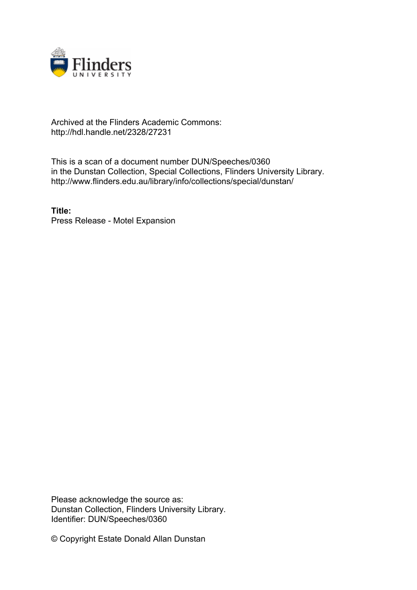

## Archived at the Flinders Academic Commons: http://hdl.handle.net/2328/27231

This is a scan of a document number DUN/Speeches/0360 in the Dunstan Collection, Special Collections, Flinders University Library. http://www.flinders.edu.au/library/info/collections/special/dunstan/

**Title:** Press Release - Motel Expansion

Please acknowledge the source as: Dunstan Collection, Flinders University Library. Identifier: DUN/Speeches/0360

© Copyright Estate Donald Allan Dunstan